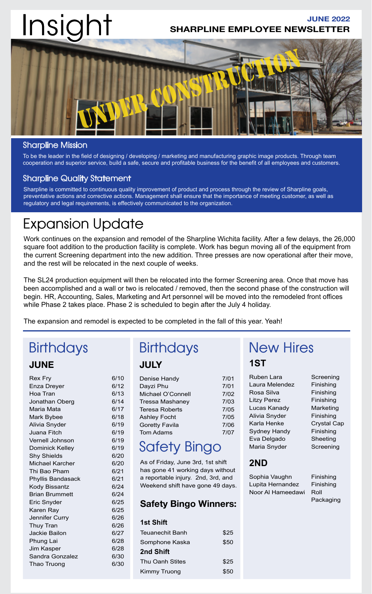# Insight

# **SHARPLINE EMPLOYEE NEWSLETTER JUNE 2022**



# Sharpline Mission

To be the leader in the field of designing / developing / marketing and manufacturing graphic image products. Through team cooperation and superior service, build a safe, secure and profitable business for the benefit of all employees and customers.

# Sharpline Quality Statement

Sharpline is committed to continuous quality improvement of product and process through the review of Sharpline goals, preventative actions and corrective actions. Management shall ensure that the importance of meeting customer, as well as regulatory and legal requirements, is effectively communicated to the organization.

# Expansion Update

Work continues on the expansion and remodel of the Sharpline Wichita facility. After a few delays, the 26,000 square foot addition to the production facility is complete. Work has begun moving all of the equipment from the current Screening department into the new addition. Three presses are now operational after their move, and the rest will be relocated in the next couple of weeks.

The SL24 production equipment will then be relocated into the former Screening area. Once that move has been accomplished and a wall or two is relocated / removed, then the second phase of the construction will begin. HR, Accounting, Sales, Marketing and Art personnel will be moved into the remodeled front offices while Phase 2 takes place. Phase 2 is scheduled to begin after the July 4 holiday.

The expansion and remodel is expected to be completed in the fall of this year. Yeah!

# **JUNE**

| <b>Rex Fry</b>         | 6/10 |
|------------------------|------|
| Enza Dreyer            | 6/12 |
| Hoa Tran               | 6/13 |
| Jonathan Oberg         | 6/14 |
| Maria Mata             | 6/17 |
| Mark Bybee             | 6/18 |
| Alivia Snyder          | 6/19 |
| Juana Fitch            | 6/19 |
| Vernell Johnson        | 6/19 |
| <b>Dominick Kelley</b> | 6/19 |
| <b>Shy Shields</b>     | 6/20 |
| Michael Karcher        | 6/20 |
| Thi Bao Pham           | 6/21 |
| Phyllis Bandasack      | 6/21 |
| <b>Kody Bissantz</b>   | 6/24 |
| <b>Brian Brummett</b>  | 6/24 |
| Eric Snyder            | 6/25 |
| Karen Ray              | 6/25 |
| Jennifer Curry         | 6/26 |
| <b>Thuy Tran</b>       | 6/26 |
| <b>Jackie Bailon</b>   | 6/27 |
| Phung Lai              | 6/28 |
| Jim Kasper             | 6/28 |
| Sandra Gonzalez        | 6/30 |
| Thao Truong            | 6/30 |
|                        |      |

# **JULY**

| Denise Handy           | 7/01 |
|------------------------|------|
| Dayzi Phu              | 7/01 |
| Michael O'Connell      | 7/02 |
| <b>Tressa Mashaney</b> | 7/03 |
| <b>Teresa Roberts</b>  | 7/05 |
| <b>Ashley Focht</b>    | 7/05 |
| <b>Goretty Favila</b>  | 7/06 |
| <b>Tom Adams</b>       | 7/07 |
|                        |      |

# Safety Bingo

As of Friday, June 3rd, 1st shift has gone 41 working days without a reportable injury. 2nd, 3rd, and Weekend shift have gone 49 days.

# **Safety Bingo Winners:**

# **1st Shift** Teuanechit Banh \$25 Somphone Kaska  $$50$ **2nd Shift** Thu Oanh Stites \$25 Kimmy Truong \$50

# Birthdays Birthdays New Hires **1ST**

Ruben Lara Screening Laura Melendez Finishing Rosa Silva Finishing Litzy Perez Finishing Lucas Kanady Marketing Alivia Snyder Finishing Karla Henke Crystal Cap Sydney Handy Finishing Eva Delgado Sheeting Maria Snyder Screening

# **2ND**

Sophia Vaughn Finishing Lupita Hernandez Finishing Noor Al Hameedawi Roll

Packaging